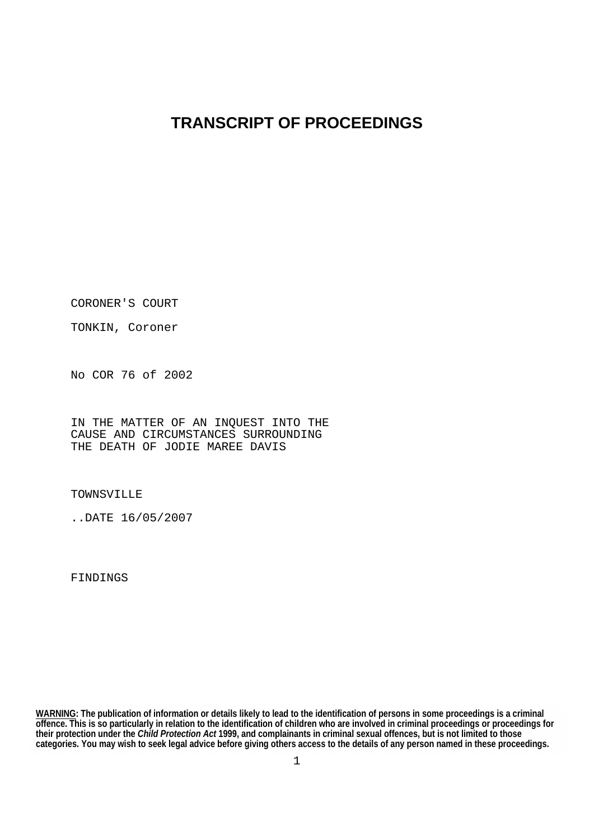# **TRANSCRIPT OF PROCEEDINGS**

CORONER'S COURT

TONKIN, Coroner

No COR 76 of 2002

IN THE MATTER OF AN INQUEST INTO THE CAUSE AND CIRCUMSTANCES SURROUNDING THE DEATH OF JODIE MAREE DAVIS

TOWNSVILLE

..DATE 16/05/2007

**FINDINGS** 

**WARNING: The publication of information or details likely to lead to the identification of persons in some proceedings is a criminal offence. This is so particularly in relation to the identification of children who are involved in criminal proceedings or proceedings for their protection under the** *Child Protection Act* **1999, and complainants in criminal sexual offences, but is not limited to those categories. You may wish to seek legal advice before giving others access to the details of any person named in these proceedings.**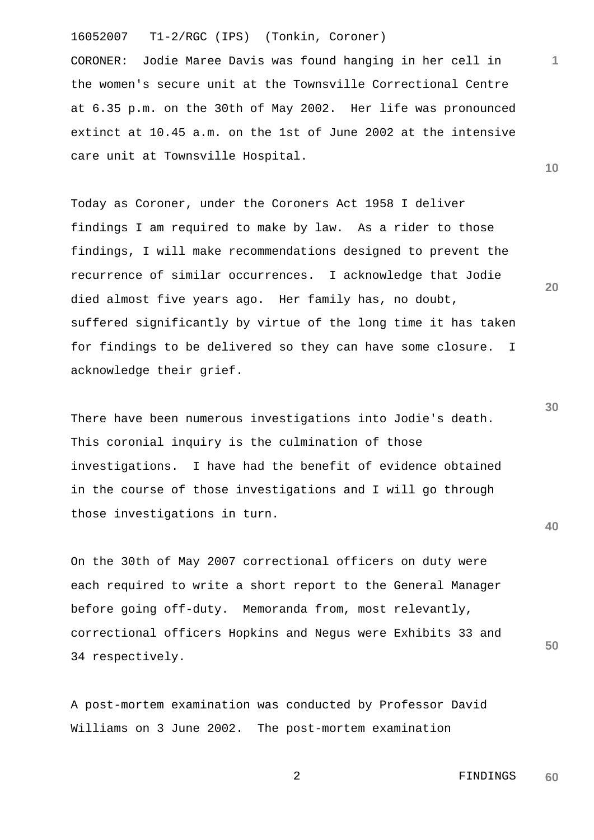CORONER: Jodie Maree Davis was found hanging in her cell in the women's secure unit at the Townsville Correctional Centre at 6.35 p.m. on the 30th of May 2002. Her life was pronounced extinct at 10.45 a.m. on the 1st of June 2002 at the intensive care unit at Townsville Hospital.

Today as Coroner, under the Coroners Act 1958 I deliver findings I am required to make by law. As a rider to those findings, I will make recommendations designed to prevent the recurrence of similar occurrences. I acknowledge that Jodie died almost five years ago. Her family has, no doubt, suffered significantly by virtue of the long time it has taken for findings to be delivered so they can have some closure. I acknowledge their grief.

There have been numerous investigations into Jodie's death. This coronial inquiry is the culmination of those investigations. I have had the benefit of evidence obtained in the course of those investigations and I will go through those investigations in turn.

On the 30th of May 2007 correctional officers on duty were each required to write a short report to the General Manager before going off-duty. Memoranda from, most relevantly, correctional officers Hopkins and Negus were Exhibits 33 and 34 respectively.

A post-mortem examination was conducted by Professor David Williams on 3 June 2002. The post-mortem examination

> 2 FINDINGS **60**

**30**

**20**

**40**

**50**

**10**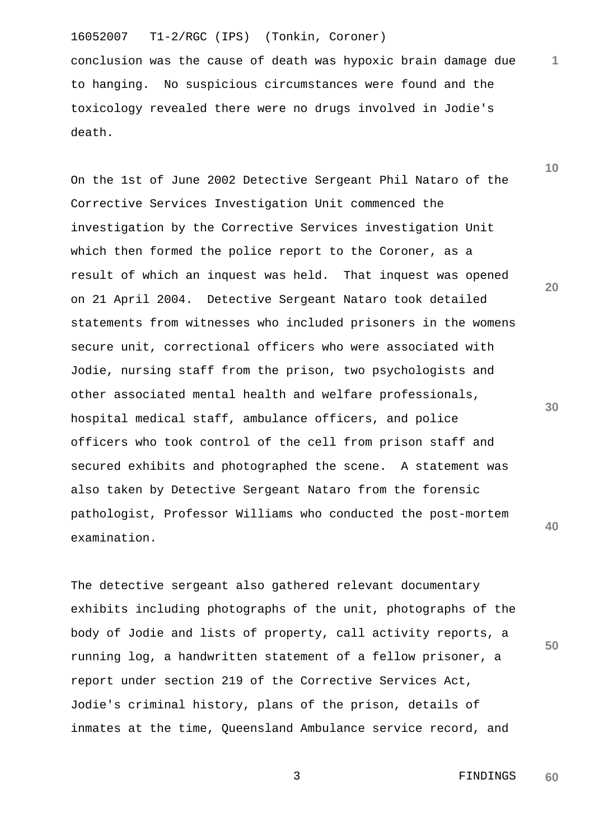conclusion was the cause of death was hypoxic brain damage due to hanging. No suspicious circumstances were found and the toxicology revealed there were no drugs involved in Jodie's death.

On the 1st of June 2002 Detective Sergeant Phil Nataro of the Corrective Services Investigation Unit commenced the investigation by the Corrective Services investigation Unit which then formed the police report to the Coroner, as a result of which an inquest was held. That inquest was opened on 21 April 2004. Detective Sergeant Nataro took detailed statements from witnesses who included prisoners in the womens secure unit, correctional officers who were associated with Jodie, nursing staff from the prison, two psychologists and other associated mental health and welfare professionals, hospital medical staff, ambulance officers, and police officers who took control of the cell from prison staff and secured exhibits and photographed the scene. A statement was also taken by Detective Sergeant Nataro from the forensic pathologist, Professor Williams who conducted the post-mortem examination.

The detective sergeant also gathered relevant documentary exhibits including photographs of the unit, photographs of the body of Jodie and lists of property, call activity reports, a running log, a handwritten statement of a fellow prisoner, a report under section 219 of the Corrective Services Act, Jodie's criminal history, plans of the prison, details of inmates at the time, Queensland Ambulance service record, and

**20**

**1**

**10**

**30**

**40**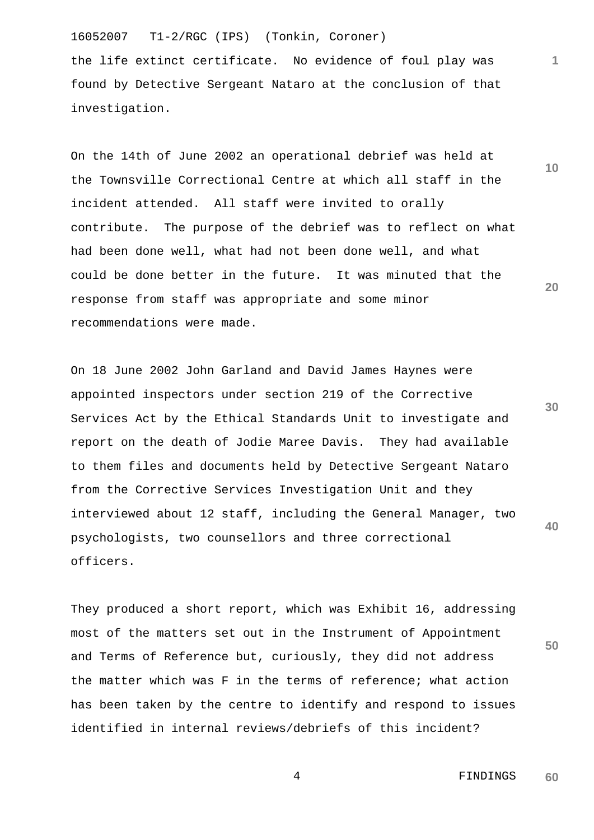the life extinct certificate. No evidence of foul play was found by Detective Sergeant Nataro at the conclusion of that investigation.

On the 14th of June 2002 an operational debrief was held at the Townsville Correctional Centre at which all staff in the incident attended. All staff were invited to orally contribute. The purpose of the debrief was to reflect on what had been done well, what had not been done well, and what could be done better in the future. It was minuted that the response from staff was appropriate and some minor recommendations were made.

**40** On 18 June 2002 John Garland and David James Haynes were appointed inspectors under section 219 of the Corrective Services Act by the Ethical Standards Unit to investigate and report on the death of Jodie Maree Davis. They had available to them files and documents held by Detective Sergeant Nataro from the Corrective Services Investigation Unit and they interviewed about 12 staff, including the General Manager, two psychologists, two counsellors and three correctional officers.

They produced a short report, which was Exhibit 16, addressing most of the matters set out in the Instrument of Appointment and Terms of Reference but, curiously, they did not address the matter which was F in the terms of reference; what action has been taken by the centre to identify and respond to issues identified in internal reviews/debriefs of this incident?

> 4 FINDINGS **60**

**30**

**50**

**10**

**20**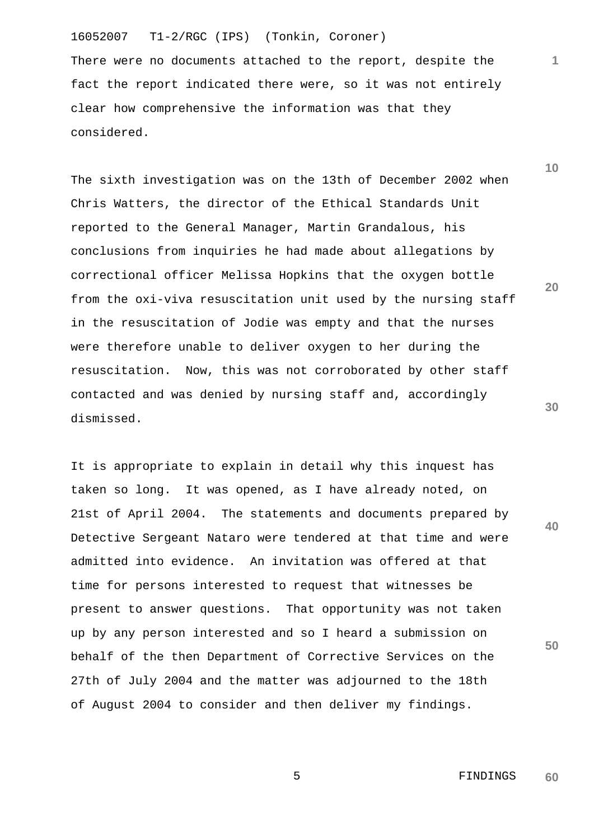There were no documents attached to the report, despite the fact the report indicated there were, so it was not entirely clear how comprehensive the information was that they considered.

The sixth investigation was on the 13th of December 2002 when Chris Watters, the director of the Ethical Standards Unit reported to the General Manager, Martin Grandalous, his conclusions from inquiries he had made about allegations by correctional officer Melissa Hopkins that the oxygen bottle from the oxi-viva resuscitation unit used by the nursing staff in the resuscitation of Jodie was empty and that the nurses were therefore unable to deliver oxygen to her during the resuscitation. Now, this was not corroborated by other staff contacted and was denied by nursing staff and, accordingly dismissed.

It is appropriate to explain in detail why this inquest has taken so long. It was opened, as I have already noted, on 21st of April 2004. The statements and documents prepared by Detective Sergeant Nataro were tendered at that time and were admitted into evidence. An invitation was offered at that time for persons interested to request that witnesses be present to answer questions. That opportunity was not taken up by any person interested and so I heard a submission on behalf of the then Department of Corrective Services on the 27th of July 2004 and the matter was adjourned to the 18th of August 2004 to consider and then deliver my findings.

**10**

**1**

**20**

**30**

**40**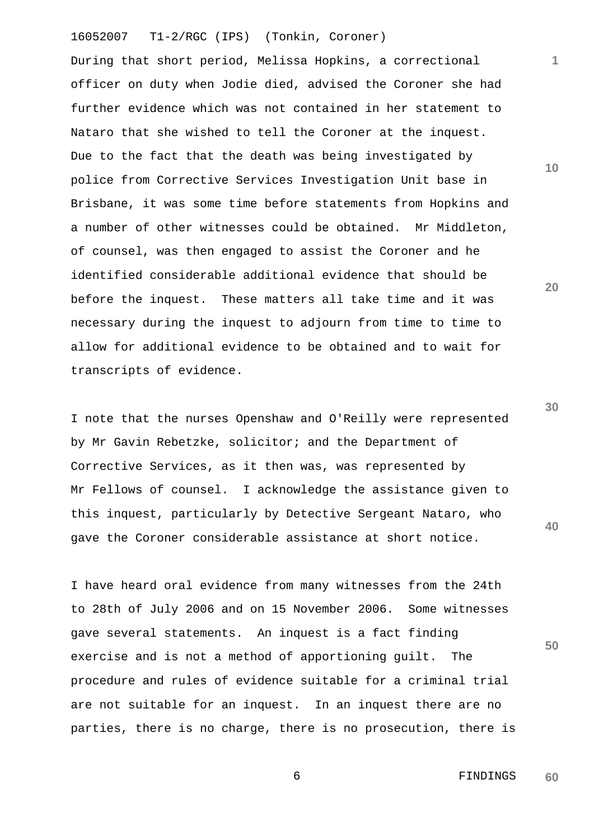During that short period, Melissa Hopkins, a correctional officer on duty when Jodie died, advised the Coroner she had further evidence which was not contained in her statement to Nataro that she wished to tell the Coroner at the inquest. Due to the fact that the death was being investigated by police from Corrective Services Investigation Unit base in Brisbane, it was some time before statements from Hopkins and a number of other witnesses could be obtained. Mr Middleton, of counsel, was then engaged to assist the Coroner and he identified considerable additional evidence that should be before the inquest. These matters all take time and it was necessary during the inquest to adjourn from time to time to allow for additional evidence to be obtained and to wait for transcripts of evidence.

I note that the nurses Openshaw and O'Reilly were represented by Mr Gavin Rebetzke, solicitor; and the Department of Corrective Services, as it then was, was represented by Mr Fellows of counsel. I acknowledge the assistance given to this inquest, particularly by Detective Sergeant Nataro, who gave the Coroner considerable assistance at short notice.

I have heard oral evidence from many witnesses from the 24th to 28th of July 2006 and on 15 November 2006. Some witnesses gave several statements. An inquest is a fact finding exercise and is not a method of apportioning guilt. The procedure and rules of evidence suitable for a criminal trial are not suitable for an inquest. In an inquest there are no parties, there is no charge, there is no prosecution, there is **10**

**1**

**20**

**30**

**40**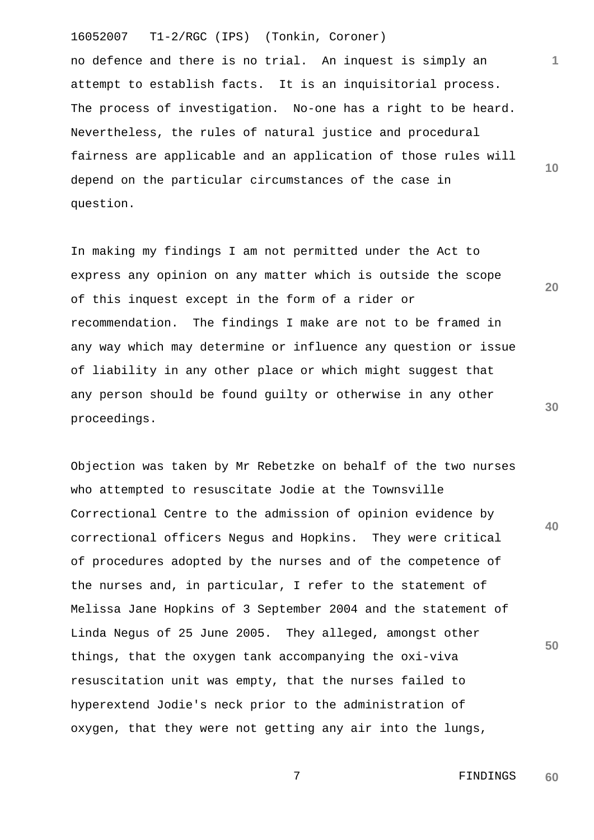**10** no defence and there is no trial. An inquest is simply an attempt to establish facts. It is an inquisitorial process. The process of investigation. No-one has a right to be heard. Nevertheless, the rules of natural justice and procedural fairness are applicable and an application of those rules will depend on the particular circumstances of the case in question.

In making my findings I am not permitted under the Act to express any opinion on any matter which is outside the scope of this inquest except in the form of a rider or recommendation. The findings I make are not to be framed in any way which may determine or influence any question or issue of liability in any other place or which might suggest that any person should be found guilty or otherwise in any other proceedings.

**40 50** Objection was taken by Mr Rebetzke on behalf of the two nurses who attempted to resuscitate Jodie at the Townsville Correctional Centre to the admission of opinion evidence by correctional officers Negus and Hopkins. They were critical of procedures adopted by the nurses and of the competence of the nurses and, in particular, I refer to the statement of Melissa Jane Hopkins of 3 September 2004 and the statement of Linda Negus of 25 June 2005. They alleged, amongst other things, that the oxygen tank accompanying the oxi-viva resuscitation unit was empty, that the nurses failed to hyperextend Jodie's neck prior to the administration of oxygen, that they were not getting any air into the lungs,

**1**

**20**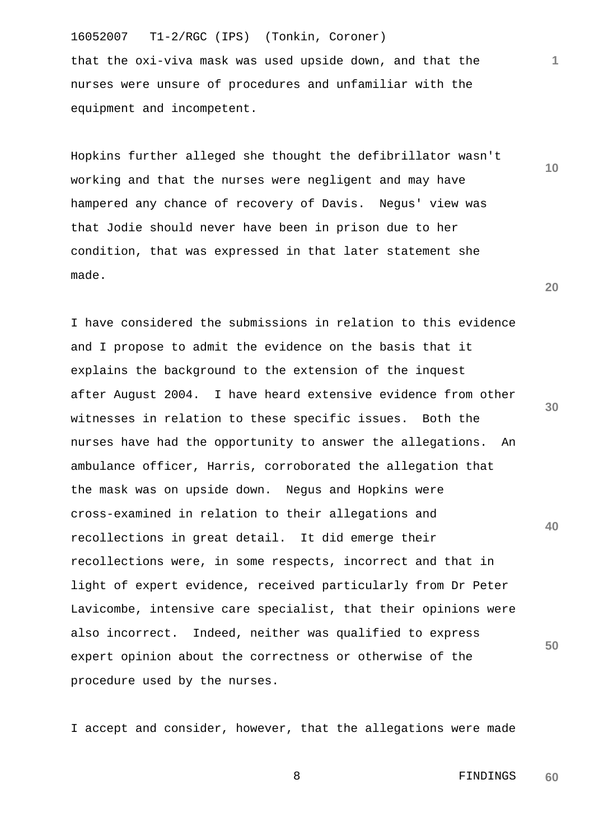that the oxi-viva mask was used upside down, and that the nurses were unsure of procedures and unfamiliar with the equipment and incompetent.

Hopkins further alleged she thought the defibrillator wasn't working and that the nurses were negligent and may have hampered any chance of recovery of Davis. Negus' view was that Jodie should never have been in prison due to her condition, that was expressed in that later statement she made.

**30 40 50** I have considered the submissions in relation to this evidence and I propose to admit the evidence on the basis that it explains the background to the extension of the inquest after August 2004. I have heard extensive evidence from other witnesses in relation to these specific issues. Both the nurses have had the opportunity to answer the allegations. An ambulance officer, Harris, corroborated the allegation that the mask was on upside down. Negus and Hopkins were cross-examined in relation to their allegations and recollections in great detail. It did emerge their recollections were, in some respects, incorrect and that in light of expert evidence, received particularly from Dr Peter Lavicombe, intensive care specialist, that their opinions were also incorrect. Indeed, neither was qualified to express expert opinion about the correctness or otherwise of the procedure used by the nurses.

I accept and consider, however, that the allegations were made

8 FINDINGS **60**

**20**

**1**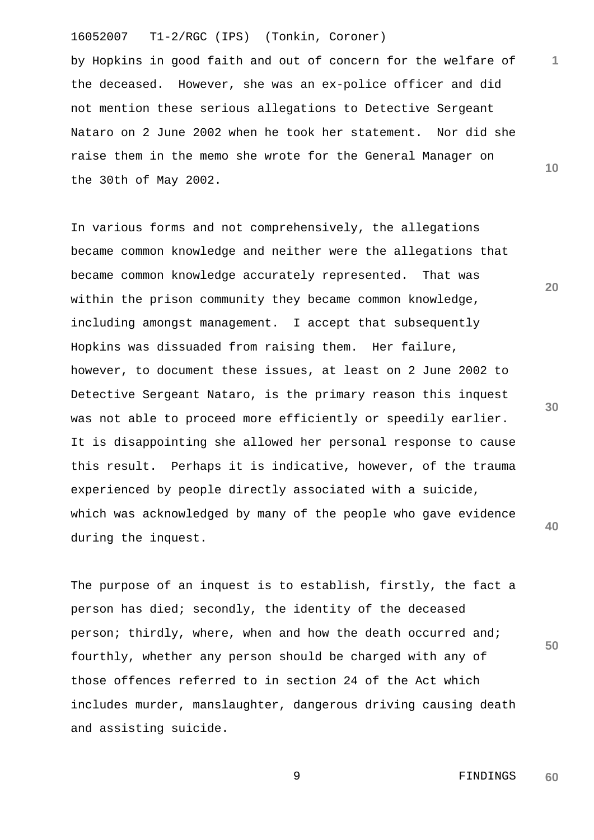by Hopkins in good faith and out of concern for the welfare of the deceased. However, she was an ex-police officer and did not mention these serious allegations to Detective Sergeant Nataro on 2 June 2002 when he took her statement. Nor did she raise them in the memo she wrote for the General Manager on the 30th of May 2002.

In various forms and not comprehensively, the allegations became common knowledge and neither were the allegations that became common knowledge accurately represented. That was within the prison community they became common knowledge, including amongst management. I accept that subsequently Hopkins was dissuaded from raising them. Her failure, however, to document these issues, at least on 2 June 2002 to Detective Sergeant Nataro, is the primary reason this inquest was not able to proceed more efficiently or speedily earlier. It is disappointing she allowed her personal response to cause this result. Perhaps it is indicative, however, of the trauma experienced by people directly associated with a suicide, which was acknowledged by many of the people who gave evidence during the inquest.

The purpose of an inquest is to establish, firstly, the fact a person has died; secondly, the identity of the deceased person; thirdly, where, when and how the death occurred and; fourthly, whether any person should be charged with any of those offences referred to in section 24 of the Act which includes murder, manslaughter, dangerous driving causing death and assisting suicide.

> 9 FINDINGS **60**

**1**

**10**

**20**

**30**

**40**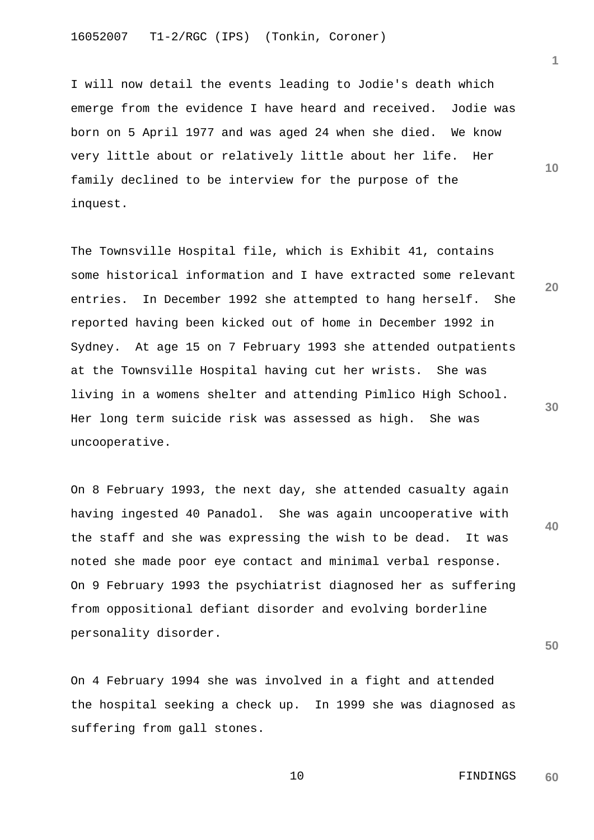I will now detail the events leading to Jodie's death which emerge from the evidence I have heard and received. Jodie was born on 5 April 1977 and was aged 24 when she died. We know very little about or relatively little about her life. Her family declined to be interview for the purpose of the inquest.

The Townsville Hospital file, which is Exhibit 41, contains some historical information and I have extracted some relevant entries. In December 1992 she attempted to hang herself. She reported having been kicked out of home in December 1992 in Sydney. At age 15 on 7 February 1993 she attended outpatients at the Townsville Hospital having cut her wrists. She was living in a womens shelter and attending Pimlico High School. Her long term suicide risk was assessed as high. She was uncooperative.

On 8 February 1993, the next day, she attended casualty again having ingested 40 Panadol. She was again uncooperative with the staff and she was expressing the wish to be dead. It was noted she made poor eye contact and minimal verbal response. On 9 February 1993 the psychiatrist diagnosed her as suffering from oppositional defiant disorder and evolving borderline personality disorder.

On 4 February 1994 she was involved in a fight and attended the hospital seeking a check up. In 1999 she was diagnosed as suffering from gall stones.

**20**

**10**

**1**

**30**

**50**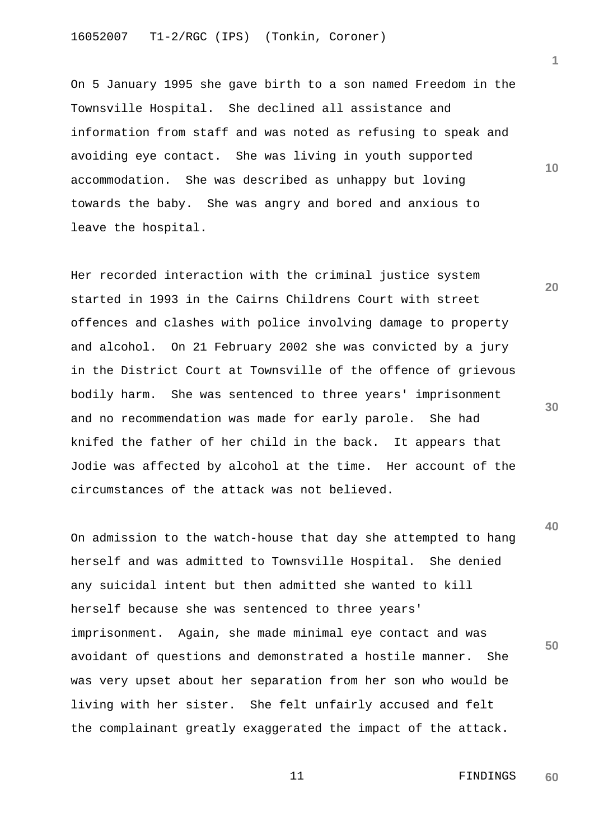On 5 January 1995 she gave birth to a son named Freedom in the Townsville Hospital. She declined all assistance and information from staff and was noted as refusing to speak and avoiding eye contact. She was living in youth supported accommodation. She was described as unhappy but loving towards the baby. She was angry and bored and anxious to leave the hospital.

Her recorded interaction with the criminal justice system started in 1993 in the Cairns Childrens Court with street offences and clashes with police involving damage to property and alcohol. On 21 February 2002 she was convicted by a jury in the District Court at Townsville of the offence of grievous bodily harm. She was sentenced to three years' imprisonment and no recommendation was made for early parole. She had knifed the father of her child in the back. It appears that Jodie was affected by alcohol at the time. Her account of the circumstances of the attack was not believed.

On admission to the watch-house that day she attempted to hang herself and was admitted to Townsville Hospital. She denied any suicidal intent but then admitted she wanted to kill herself because she was sentenced to three years' imprisonment. Again, she made minimal eye contact and was avoidant of questions and demonstrated a hostile manner. She was very upset about her separation from her son who would be living with her sister. She felt unfairly accused and felt the complainant greatly exaggerated the impact of the attack.

**10**

**1**

**20**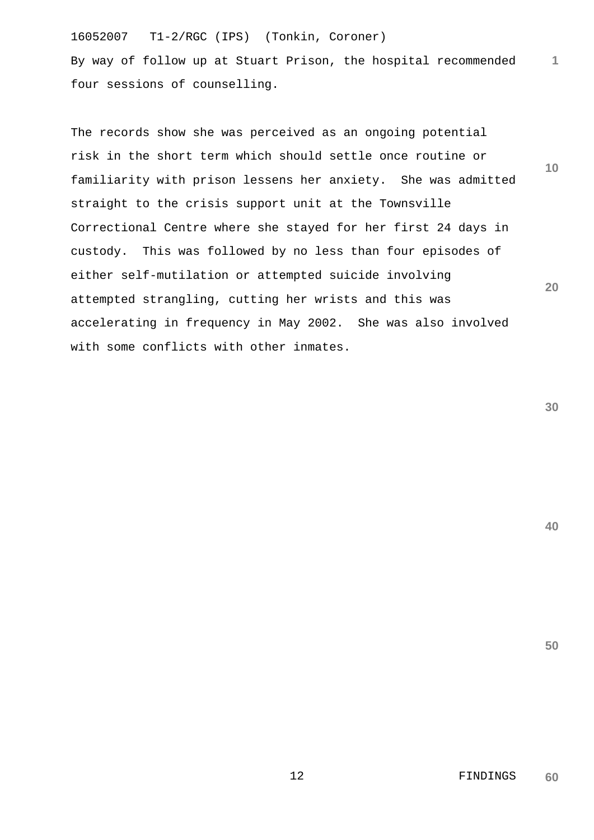16052007 T1-2/RGC (IPS) (Tonkin, Coroner) **1** By way of follow up at Stuart Prison, the hospital recommended four sessions of counselling.

**10 20** The records show she was perceived as an ongoing potential risk in the short term which should settle once routine or familiarity with prison lessens her anxiety. She was admitted straight to the crisis support unit at the Townsville Correctional Centre where she stayed for her first 24 days in custody. This was followed by no less than four episodes of either self-mutilation or attempted suicide involving attempted strangling, cutting her wrists and this was accelerating in frequency in May 2002. She was also involved with some conflicts with other inmates.

**30**

**40**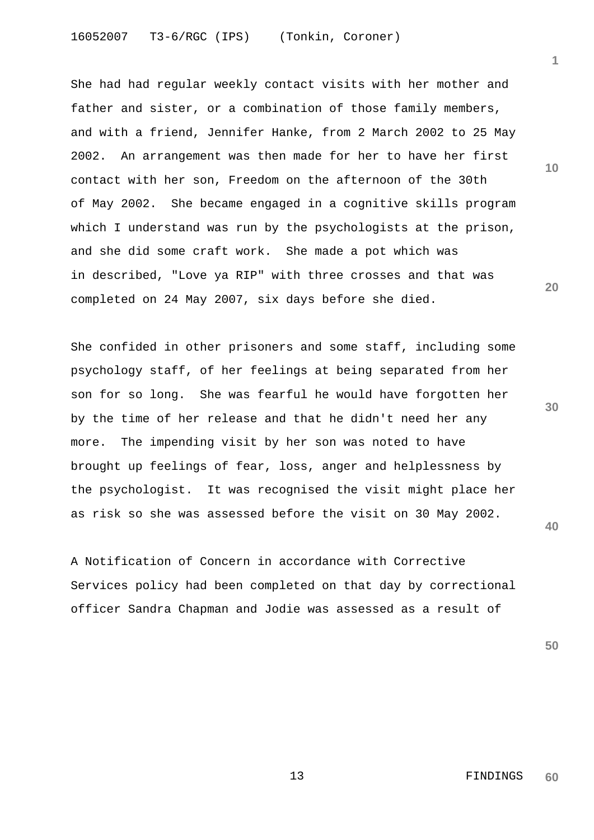She had had regular weekly contact visits with her mother and father and sister, or a combination of those family members, and with a friend, Jennifer Hanke, from 2 March 2002 to 25 May 2002. An arrangement was then made for her to have her first contact with her son, Freedom on the afternoon of the 30th of May 2002. She became engaged in a cognitive skills program which I understand was run by the psychologists at the prison, and she did some craft work. She made a pot which was in described, "Love ya RIP" with three crosses and that was completed on 24 May 2007, six days before she died.

She confided in other prisoners and some staff, including some psychology staff, of her feelings at being separated from her son for so long. She was fearful he would have forgotten her by the time of her release and that he didn't need her any more. The impending visit by her son was noted to have brought up feelings of fear, loss, anger and helplessness by the psychologist. It was recognised the visit might place her as risk so she was assessed before the visit on 30 May 2002.

A Notification of Concern in accordance with Corrective Services policy had been completed on that day by correctional officer Sandra Chapman and Jodie was assessed as a result of

**50**

**40**

**10**

**1**

**20**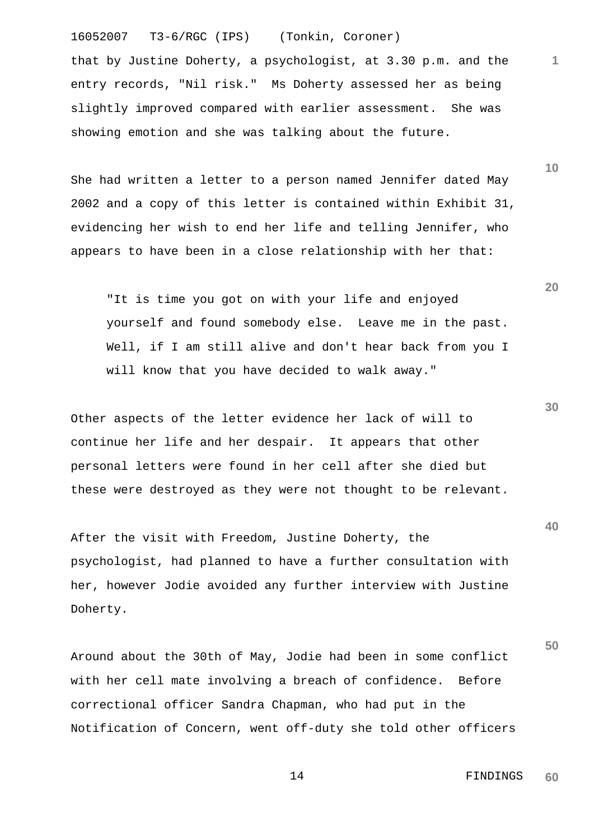that by Justine Doherty, a psychologist, at 3.30 p.m. and the entry records, "Nil risk." Ms Doherty assessed her as being slightly improved compared with earlier assessment. She was showing emotion and she was talking about the future.

She had written a letter to a person named Jennifer dated May 2002 and a copy of this letter is contained within Exhibit 31, evidencing her wish to end her life and telling Jennifer, who appears to have been in a close relationship with her that:

 "It is time you got on with your life and enjoyed yourself and found somebody else. Leave me in the past. Well, if I am still alive and don't hear back from you I will know that you have decided to walk away."

Other aspects of the letter evidence her lack of will to continue her life and her despair. It appears that other personal letters were found in her cell after she died but these were destroyed as they were not thought to be relevant.

After the visit with Freedom, Justine Doherty, the psychologist, had planned to have a further consultation with her, however Jodie avoided any further interview with Justine Doherty.

Around about the 30th of May, Jodie had been in some conflict with her cell mate involving a breach of confidence. Before correctional officer Sandra Chapman, who had put in the Notification of Concern, went off-duty she told other officers

**20**

**1**

**10**

**40**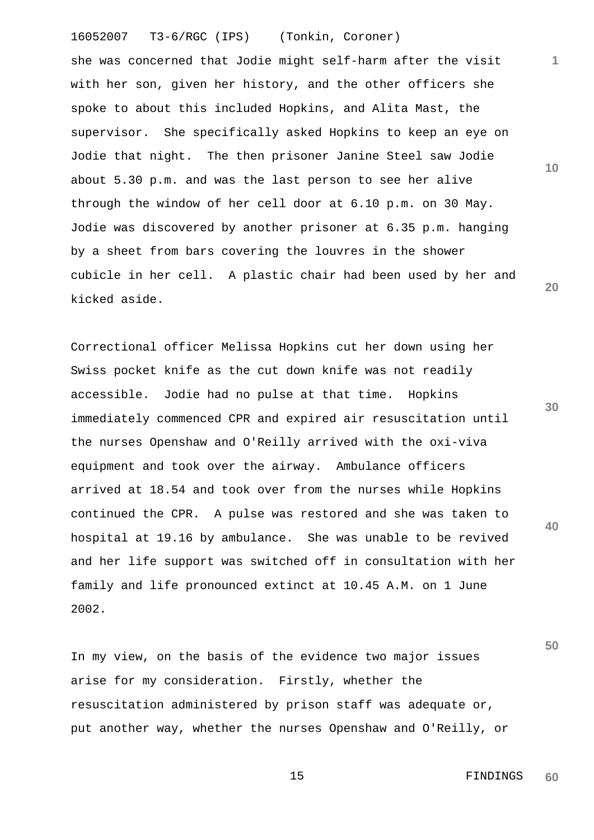she was concerned that Jodie might self-harm after the visit with her son, given her history, and the other officers she spoke to about this included Hopkins, and Alita Mast, the supervisor. She specifically asked Hopkins to keep an eye on Jodie that night. The then prisoner Janine Steel saw Jodie about 5.30 p.m. and was the last person to see her alive through the window of her cell door at 6.10 p.m. on 30 May. Jodie was discovered by another prisoner at 6.35 p.m. hanging by a sheet from bars covering the louvres in the shower cubicle in her cell. A plastic chair had been used by her and kicked aside.

Correctional officer Melissa Hopkins cut her down using her Swiss pocket knife as the cut down knife was not readily accessible. Jodie had no pulse at that time. Hopkins immediately commenced CPR and expired air resuscitation until the nurses Openshaw and O'Reilly arrived with the oxi-viva equipment and took over the airway. Ambulance officers arrived at 18.54 and took over from the nurses while Hopkins continued the CPR. A pulse was restored and she was taken to hospital at 19.16 by ambulance. She was unable to be revived and her life support was switched off in consultation with her family and life pronounced extinct at 10.45 A.M. on 1 June 2002.

In my view, on the basis of the evidence two major issues arise for my consideration. Firstly, whether the resuscitation administered by prison staff was adequate or, put another way, whether the nurses Openshaw and O'Reilly, or

> 15 FINDINGS **60**

**30**

**20**

**40**

**50**

**10**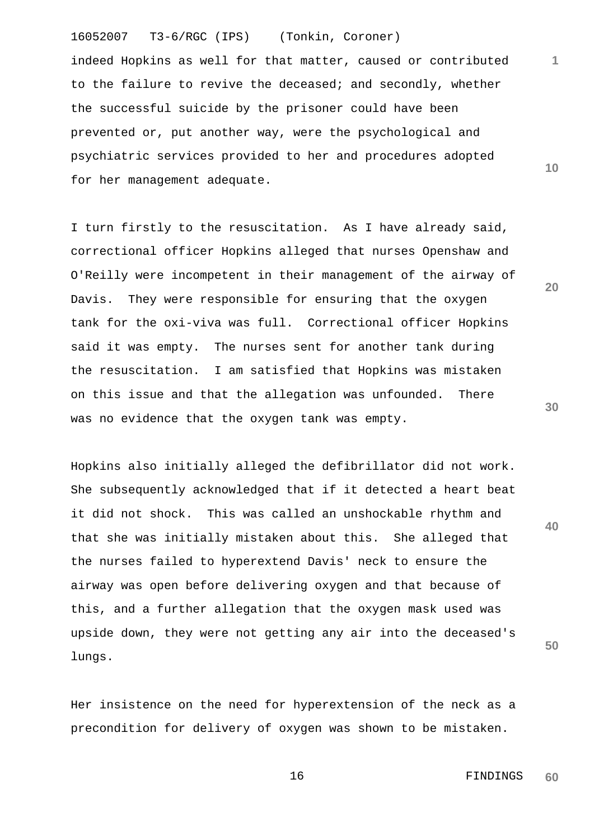indeed Hopkins as well for that matter, caused or contributed to the failure to revive the deceased; and secondly, whether the successful suicide by the prisoner could have been prevented or, put another way, were the psychological and psychiatric services provided to her and procedures adopted for her management adequate.

I turn firstly to the resuscitation. As I have already said, correctional officer Hopkins alleged that nurses Openshaw and O'Reilly were incompetent in their management of the airway of Davis. They were responsible for ensuring that the oxygen tank for the oxi-viva was full. Correctional officer Hopkins said it was empty. The nurses sent for another tank during the resuscitation. I am satisfied that Hopkins was mistaken on this issue and that the allegation was unfounded. There was no evidence that the oxygen tank was empty.

Hopkins also initially alleged the defibrillator did not work. She subsequently acknowledged that if it detected a heart beat it did not shock. This was called an unshockable rhythm and that she was initially mistaken about this. She alleged that the nurses failed to hyperextend Davis' neck to ensure the airway was open before delivering oxygen and that because of this, and a further allegation that the oxygen mask used was upside down, they were not getting any air into the deceased's lungs.

Her insistence on the need for hyperextension of the neck as a precondition for delivery of oxygen was shown to be mistaken.

**30**

**20**

**40**

**50**

**1**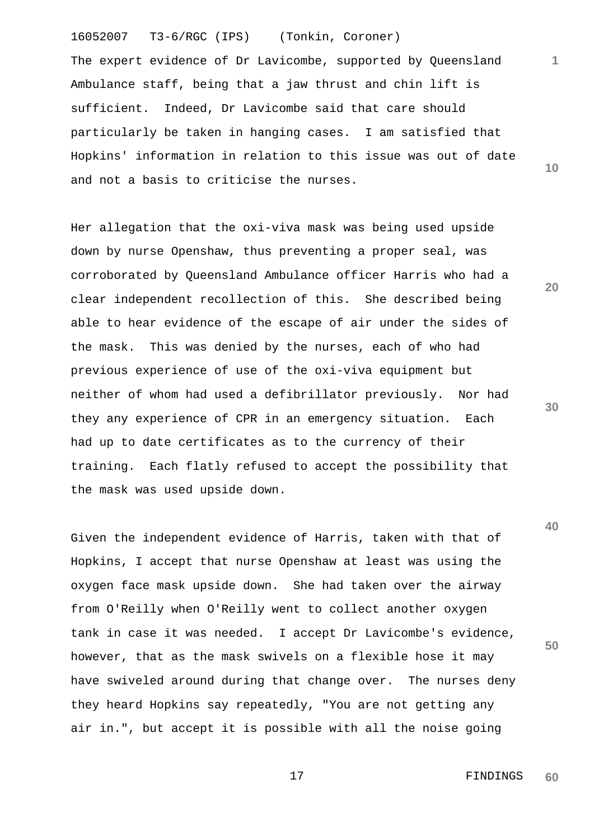16052007 T3-6/RGC (IPS) (Tonkin, Coroner) **1 10** The expert evidence of Dr Lavicombe, supported by Queensland Ambulance staff, being that a jaw thrust and chin lift is sufficient. Indeed, Dr Lavicombe said that care should particularly be taken in hanging cases. I am satisfied that Hopkins' information in relation to this issue was out of date and not a basis to criticise the nurses.

Her allegation that the oxi-viva mask was being used upside down by nurse Openshaw, thus preventing a proper seal, was corroborated by Queensland Ambulance officer Harris who had a clear independent recollection of this. She described being able to hear evidence of the escape of air under the sides of the mask. This was denied by the nurses, each of who had previous experience of use of the oxi-viva equipment but neither of whom had used a defibrillator previously. Nor had they any experience of CPR in an emergency situation. Each had up to date certificates as to the currency of their training. Each flatly refused to accept the possibility that the mask was used upside down.

Given the independent evidence of Harris, taken with that of Hopkins, I accept that nurse Openshaw at least was using the oxygen face mask upside down. She had taken over the airway from O'Reilly when O'Reilly went to collect another oxygen tank in case it was needed. I accept Dr Lavicombe's evidence, however, that as the mask swivels on a flexible hose it may have swiveled around during that change over. The nurses deny they heard Hopkins say repeatedly, "You are not getting any air in.", but accept it is possible with all the noise going

**20**

**30**

**50**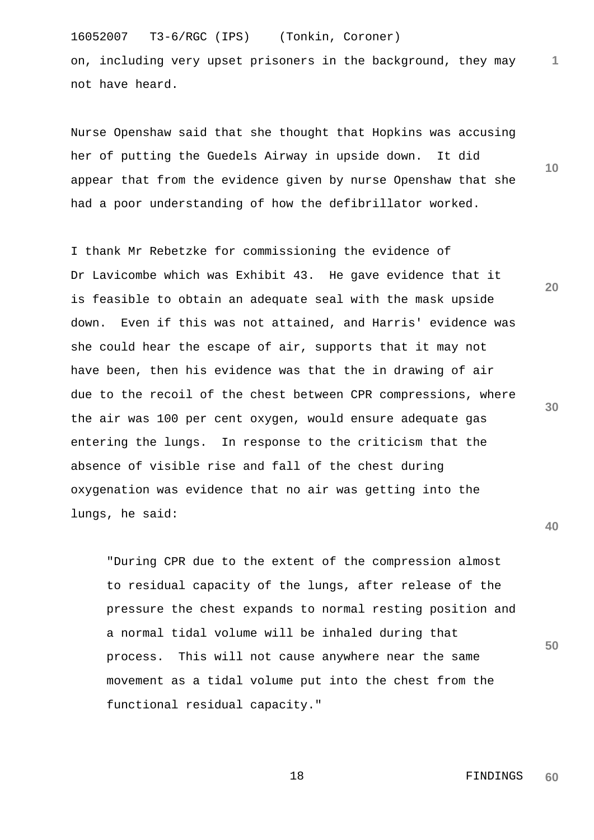on, including very upset prisoners in the background, they may not have heard.

Nurse Openshaw said that she thought that Hopkins was accusing her of putting the Guedels Airway in upside down. It did appear that from the evidence given by nurse Openshaw that she had a poor understanding of how the defibrillator worked.

I thank Mr Rebetzke for commissioning the evidence of Dr Lavicombe which was Exhibit 43. He gave evidence that it is feasible to obtain an adequate seal with the mask upside down. Even if this was not attained, and Harris' evidence was she could hear the escape of air, supports that it may not have been, then his evidence was that the in drawing of air due to the recoil of the chest between CPR compressions, where the air was 100 per cent oxygen, would ensure adequate gas entering the lungs. In response to the criticism that the absence of visible rise and fall of the chest during oxygenation was evidence that no air was getting into the lungs, he said:

 "During CPR due to the extent of the compression almost to residual capacity of the lungs, after release of the pressure the chest expands to normal resting position and a normal tidal volume will be inhaled during that process. This will not cause anywhere near the same movement as a tidal volume put into the chest from the functional residual capacity."

**10**

**1**

**30**

**20**

**40**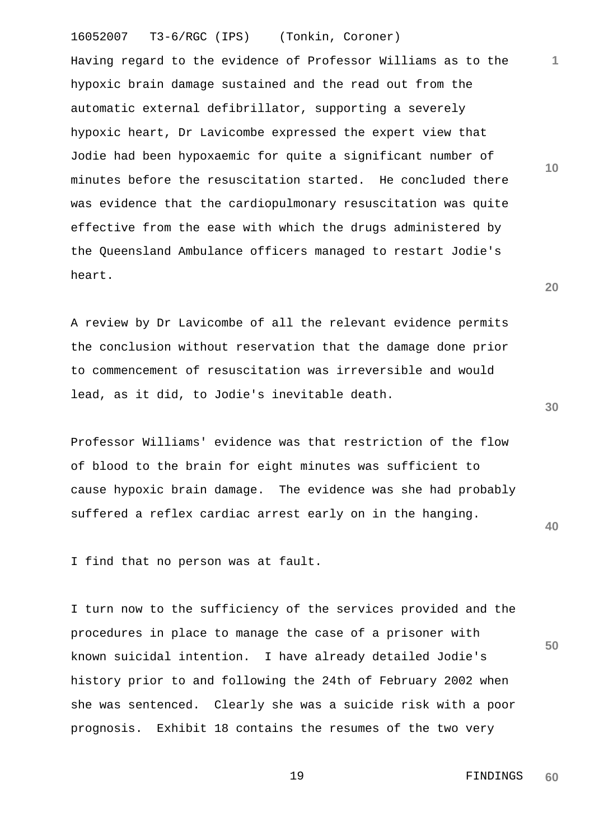16052007 T3-6/RGC (IPS) (Tonkin, Coroner) Having regard to the evidence of Professor Williams as to the hypoxic brain damage sustained and the read out from the automatic external defibrillator, supporting a severely hypoxic heart, Dr Lavicombe expressed the expert view that Jodie had been hypoxaemic for quite a significant number of minutes before the resuscitation started. He concluded there was evidence that the cardiopulmonary resuscitation was quite effective from the ease with which the drugs administered by the Queensland Ambulance officers managed to restart Jodie's

A review by Dr Lavicombe of all the relevant evidence permits the conclusion without reservation that the damage done prior to commencement of resuscitation was irreversible and would lead, as it did, to Jodie's inevitable death.

Professor Williams' evidence was that restriction of the flow of blood to the brain for eight minutes was sufficient to cause hypoxic brain damage. The evidence was she had probably suffered a reflex cardiac arrest early on in the hanging.

I find that no person was at fault.

heart.

**50** I turn now to the sufficiency of the services provided and the procedures in place to manage the case of a prisoner with known suicidal intention. I have already detailed Jodie's history prior to and following the 24th of February 2002 when she was sentenced. Clearly she was a suicide risk with a poor prognosis. Exhibit 18 contains the resumes of the two very

> 19 FINDINGS **60**

**30**

**40**

**20**

**10**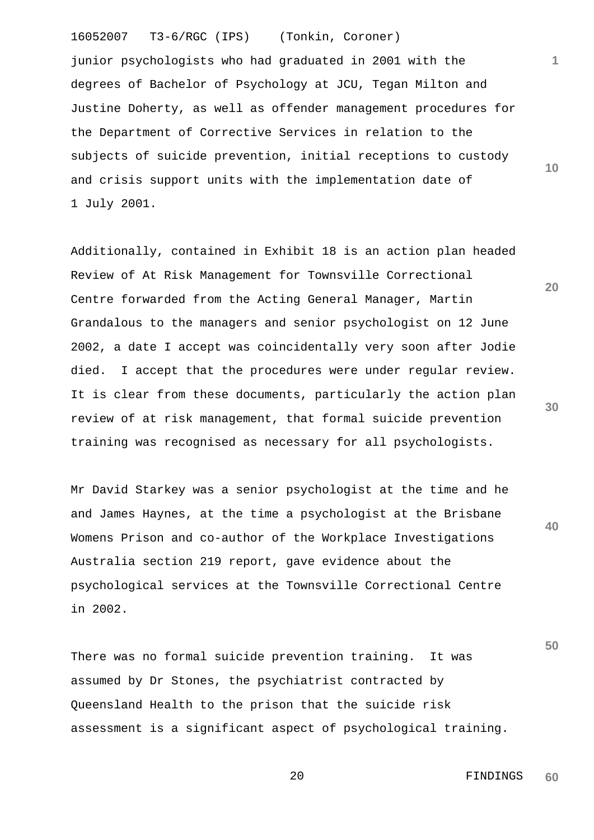junior psychologists who had graduated in 2001 with the degrees of Bachelor of Psychology at JCU, Tegan Milton and Justine Doherty, as well as offender management procedures for the Department of Corrective Services in relation to the subjects of suicide prevention, initial receptions to custody and crisis support units with the implementation date of 1 July 2001.

Additionally, contained in Exhibit 18 is an action plan headed Review of At Risk Management for Townsville Correctional Centre forwarded from the Acting General Manager, Martin Grandalous to the managers and senior psychologist on 12 June 2002, a date I accept was coincidentally very soon after Jodie died. I accept that the procedures were under regular review. It is clear from these documents, particularly the action plan review of at risk management, that formal suicide prevention training was recognised as necessary for all psychologists.

Mr David Starkey was a senior psychologist at the time and he and James Haynes, at the time a psychologist at the Brisbane Womens Prison and co-author of the Workplace Investigations Australia section 219 report, gave evidence about the psychological services at the Townsville Correctional Centre in 2002.

There was no formal suicide prevention training. It was assumed by Dr Stones, the psychiatrist contracted by Queensland Health to the prison that the suicide risk assessment is a significant aspect of psychological training. **50**

**1**

**10**

**20**

**30**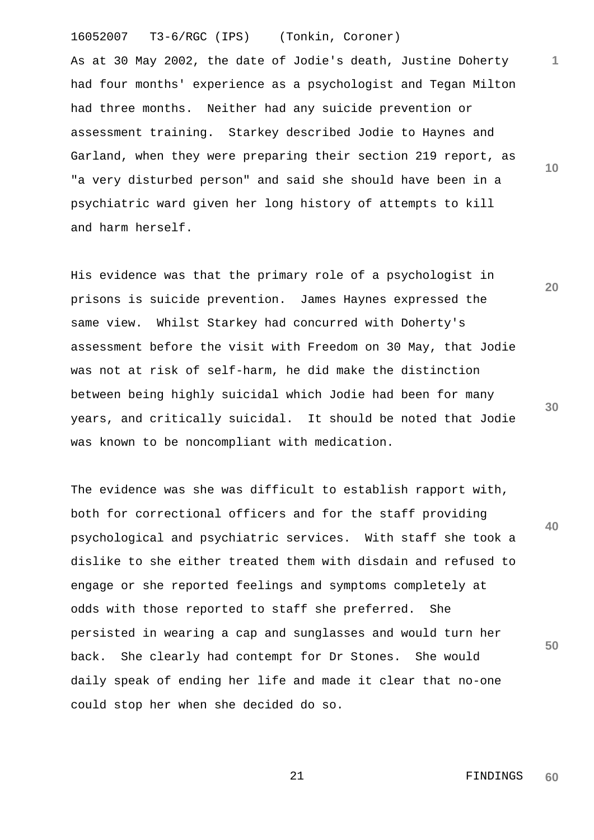As at 30 May 2002, the date of Jodie's death, Justine Doherty had four months' experience as a psychologist and Tegan Milton had three months. Neither had any suicide prevention or assessment training. Starkey described Jodie to Haynes and Garland, when they were preparing their section 219 report, as "a very disturbed person" and said she should have been in a psychiatric ward given her long history of attempts to kill and harm herself.

His evidence was that the primary role of a psychologist in prisons is suicide prevention. James Haynes expressed the same view. Whilst Starkey had concurred with Doherty's assessment before the visit with Freedom on 30 May, that Jodie was not at risk of self-harm, he did make the distinction between being highly suicidal which Jodie had been for many years, and critically suicidal. It should be noted that Jodie was known to be noncompliant with medication.

**40 50** The evidence was she was difficult to establish rapport with, both for correctional officers and for the staff providing psychological and psychiatric services. With staff she took a dislike to she either treated them with disdain and refused to engage or she reported feelings and symptoms completely at odds with those reported to staff she preferred. She persisted in wearing a cap and sunglasses and would turn her back. She clearly had contempt for Dr Stones. She would daily speak of ending her life and made it clear that no-one could stop her when she decided do so.

> 21 FINDINGS **60**

**1**

**10**

**20**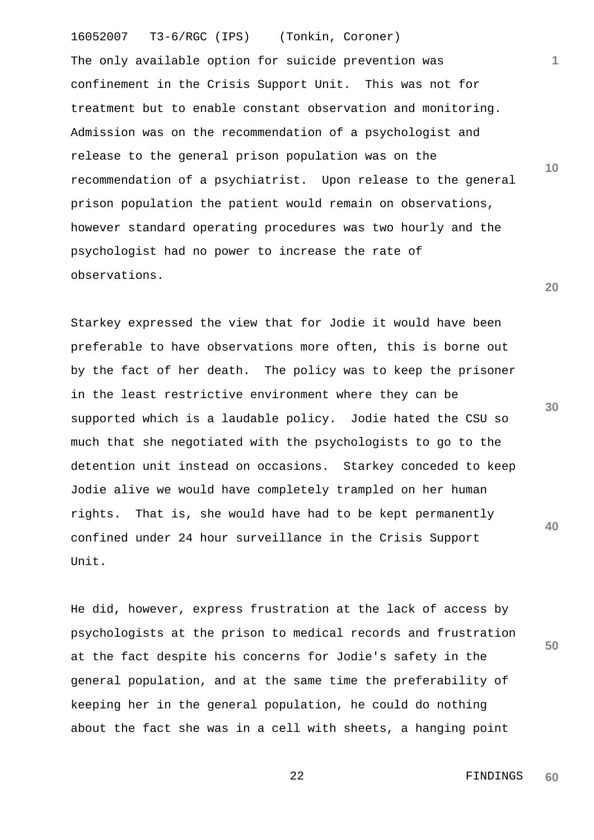16052007 T3-6/RGC (IPS) (Tonkin, Coroner) **1 10 20** The only available option for suicide prevention was confinement in the Crisis Support Unit. This was not for treatment but to enable constant observation and monitoring. Admission was on the recommendation of a psychologist and release to the general prison population was on the recommendation of a psychiatrist. Upon release to the general prison population the patient would remain on observations, however standard operating procedures was two hourly and the psychologist had no power to increase the rate of observations.

Starkey expressed the view that for Jodie it would have been preferable to have observations more often, this is borne out by the fact of her death. The policy was to keep the prisoner in the least restrictive environment where they can be supported which is a laudable policy. Jodie hated the CSU so much that she negotiated with the psychologists to go to the detention unit instead on occasions. Starkey conceded to keep Jodie alive we would have completely trampled on her human rights. That is, she would have had to be kept permanently confined under 24 hour surveillance in the Crisis Support Unit.

He did, however, express frustration at the lack of access by psychologists at the prison to medical records and frustration at the fact despite his concerns for Jodie's safety in the general population, and at the same time the preferability of keeping her in the general population, he could do nothing about the fact she was in a cell with sheets, a hanging point

 22 FINDINGS **60**

**30**

**40**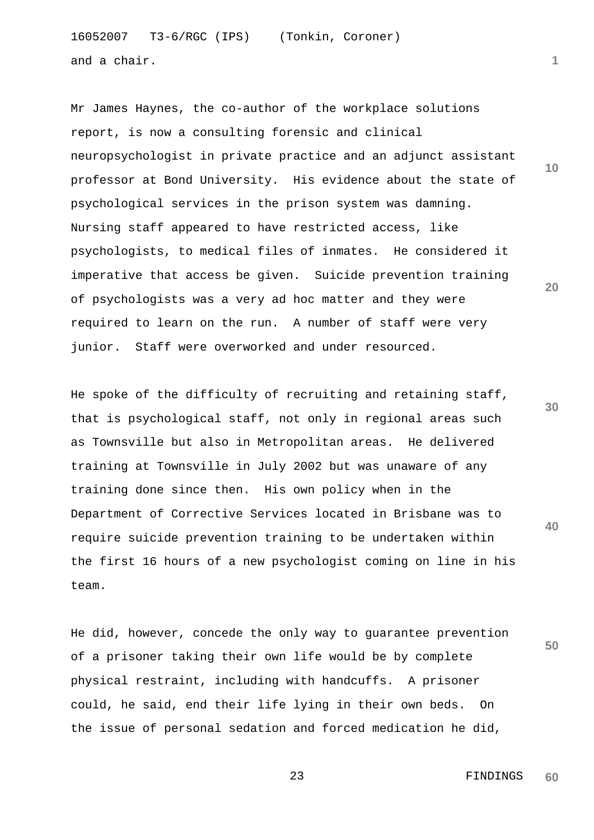16052007 T3-6/RGC (IPS) (Tonkin, Coroner) and a chair.

**20** Mr James Haynes, the co-author of the workplace solutions report, is now a consulting forensic and clinical neuropsychologist in private practice and an adjunct assistant professor at Bond University. His evidence about the state of psychological services in the prison system was damning. Nursing staff appeared to have restricted access, like psychologists, to medical files of inmates. He considered it imperative that access be given. Suicide prevention training of psychologists was a very ad hoc matter and they were required to learn on the run. A number of staff were very junior. Staff were overworked and under resourced.

**30 40** He spoke of the difficulty of recruiting and retaining staff, that is psychological staff, not only in regional areas such as Townsville but also in Metropolitan areas. He delivered training at Townsville in July 2002 but was unaware of any training done since then. His own policy when in the Department of Corrective Services located in Brisbane was to require suicide prevention training to be undertaken within the first 16 hours of a new psychologist coming on line in his team.

He did, however, concede the only way to guarantee prevention of a prisoner taking their own life would be by complete physical restraint, including with handcuffs. A prisoner could, he said, end their life lying in their own beds. On the issue of personal sedation and forced medication he did,

 23 FINDINGS **60**

**50**

**1**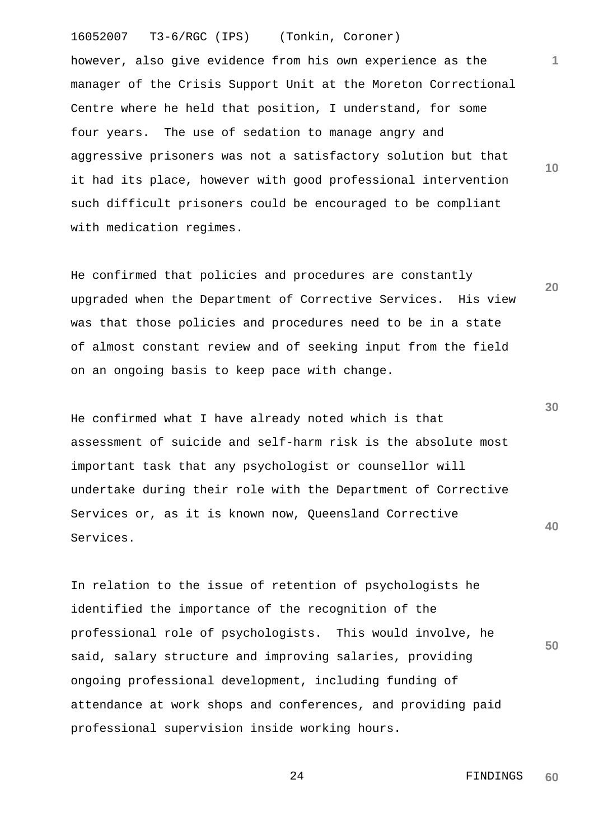however, also give evidence from his own experience as the manager of the Crisis Support Unit at the Moreton Correctional Centre where he held that position, I understand, for some four years. The use of sedation to manage angry and aggressive prisoners was not a satisfactory solution but that it had its place, however with good professional intervention such difficult prisoners could be encouraged to be compliant with medication regimes.

He confirmed that policies and procedures are constantly upgraded when the Department of Corrective Services. His view was that those policies and procedures need to be in a state of almost constant review and of seeking input from the field on an ongoing basis to keep pace with change.

He confirmed what I have already noted which is that assessment of suicide and self-harm risk is the absolute most important task that any psychologist or counsellor will undertake during their role with the Department of Corrective Services or, as it is known now, Queensland Corrective Services.

In relation to the issue of retention of psychologists he identified the importance of the recognition of the professional role of psychologists. This would involve, he said, salary structure and improving salaries, providing ongoing professional development, including funding of attendance at work shops and conferences, and providing paid professional supervision inside working hours.

> 24 FINDINGS **60**

**1**

**10**

**20**

**30**

**40**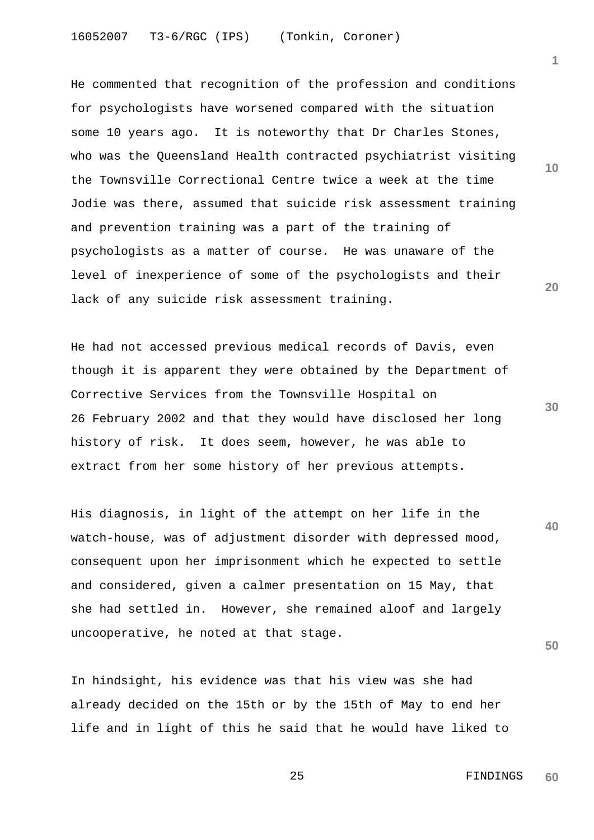He commented that recognition of the profession and conditions for psychologists have worsened compared with the situation some 10 years ago. It is noteworthy that Dr Charles Stones, who was the Queensland Health contracted psychiatrist visiting the Townsville Correctional Centre twice a week at the time Jodie was there, assumed that suicide risk assessment training and prevention training was a part of the training of psychologists as a matter of course. He was unaware of the level of inexperience of some of the psychologists and their lack of any suicide risk assessment training.

He had not accessed previous medical records of Davis, even though it is apparent they were obtained by the Department of Corrective Services from the Townsville Hospital on 26 February 2002 and that they would have disclosed her long history of risk. It does seem, however, he was able to extract from her some history of her previous attempts.

His diagnosis, in light of the attempt on her life in the watch-house, was of adjustment disorder with depressed mood, consequent upon her imprisonment which he expected to settle and considered, given a calmer presentation on 15 May, that she had settled in. However, she remained aloof and largely uncooperative, he noted at that stage.

In hindsight, his evidence was that his view was she had already decided on the 15th or by the 15th of May to end her life and in light of this he said that he would have liked to **10**

**1**

**20**

**30**

**40**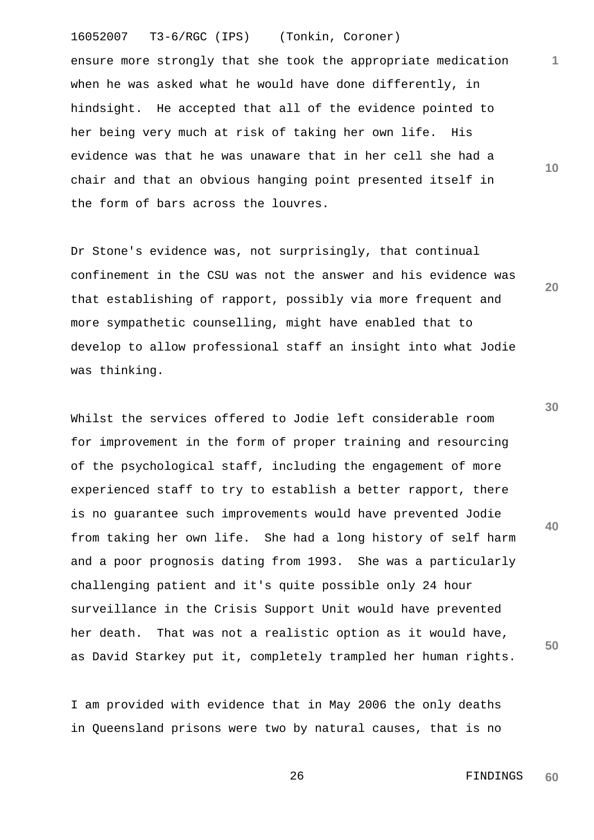16052007 T3-6/RGC (IPS) (Tonkin, Coroner) ensure more strongly that she took the appropriate medication when he was asked what he would have done differently, in hindsight. He accepted that all of the evidence pointed to her being very much at risk of taking her own life. His evidence was that he was unaware that in her cell she had a chair and that an obvious hanging point presented itself in the form of bars across the louvres.

Dr Stone's evidence was, not surprisingly, that continual confinement in the CSU was not the answer and his evidence was that establishing of rapport, possibly via more frequent and more sympathetic counselling, might have enabled that to develop to allow professional staff an insight into what Jodie was thinking.

Whilst the services offered to Jodie left considerable room for improvement in the form of proper training and resourcing of the psychological staff, including the engagement of more experienced staff to try to establish a better rapport, there is no guarantee such improvements would have prevented Jodie from taking her own life. She had a long history of self harm and a poor prognosis dating from 1993. She was a particularly challenging patient and it's quite possible only 24 hour surveillance in the Crisis Support Unit would have prevented her death. That was not a realistic option as it would have, as David Starkey put it, completely trampled her human rights.

I am provided with evidence that in May 2006 the only deaths in Queensland prisons were two by natural causes, that is no **30**

**40**

**50**

**1**

**10**

**20**

 26 FINDINGS **60**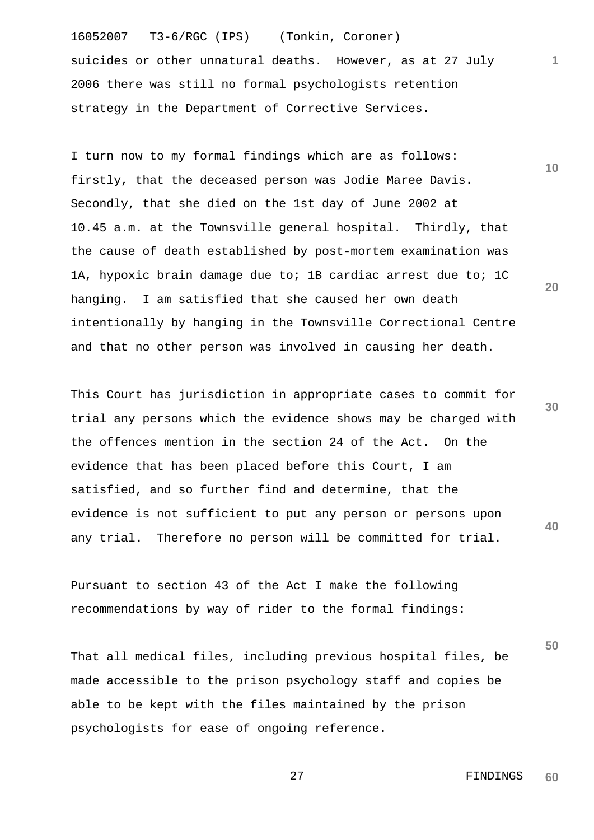16052007 T3-6/RGC (IPS) (Tonkin, Coroner) suicides or other unnatural deaths. However, as at 27 July 2006 there was still no formal psychologists retention strategy in the Department of Corrective Services.

I turn now to my formal findings which are as follows: firstly, that the deceased person was Jodie Maree Davis. Secondly, that she died on the 1st day of June 2002 at 10.45 a.m. at the Townsville general hospital. Thirdly, that the cause of death established by post-mortem examination was 1A, hypoxic brain damage due to; 1B cardiac arrest due to; 1C hanging. I am satisfied that she caused her own death intentionally by hanging in the Townsville Correctional Centre and that no other person was involved in causing her death.

**30 40** This Court has jurisdiction in appropriate cases to commit for trial any persons which the evidence shows may be charged with the offences mention in the section 24 of the Act. On the evidence that has been placed before this Court, I am satisfied, and so further find and determine, that the evidence is not sufficient to put any person or persons upon any trial. Therefore no person will be committed for trial.

Pursuant to section 43 of the Act I make the following recommendations by way of rider to the formal findings:

That all medical files, including previous hospital files, be made accessible to the prison psychology staff and copies be able to be kept with the files maintained by the prison psychologists for ease of ongoing reference.

> 27 FINDINGS **60**

**50**

**1**

**10**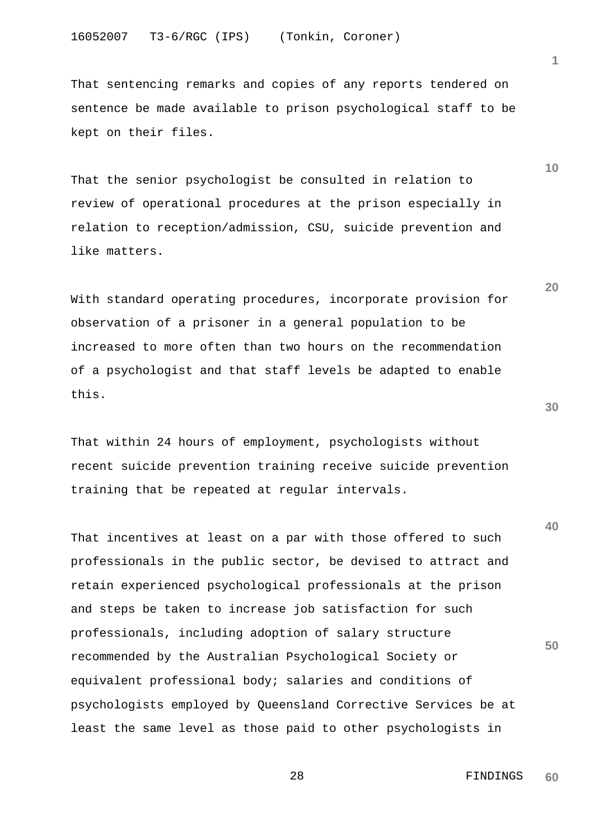That sentencing remarks and copies of any reports tendered on sentence be made available to prison psychological staff to be kept on their files.

That the senior psychologist be consulted in relation to review of operational procedures at the prison especially in relation to reception/admission, CSU, suicide prevention and like matters.

With standard operating procedures, incorporate provision for observation of a prisoner in a general population to be increased to more often than two hours on the recommendation of a psychologist and that staff levels be adapted to enable this.

That within 24 hours of employment, psychologists without recent suicide prevention training receive suicide prevention training that be repeated at regular intervals.

**50** That incentives at least on a par with those offered to such professionals in the public sector, be devised to attract and retain experienced psychological professionals at the prison and steps be taken to increase job satisfaction for such professionals, including adoption of salary structure recommended by the Australian Psychological Society or equivalent professional body; salaries and conditions of psychologists employed by Queensland Corrective Services be at least the same level as those paid to other psychologists in

 28 FINDINGS **60**

**30**

**40**

**10**

**1**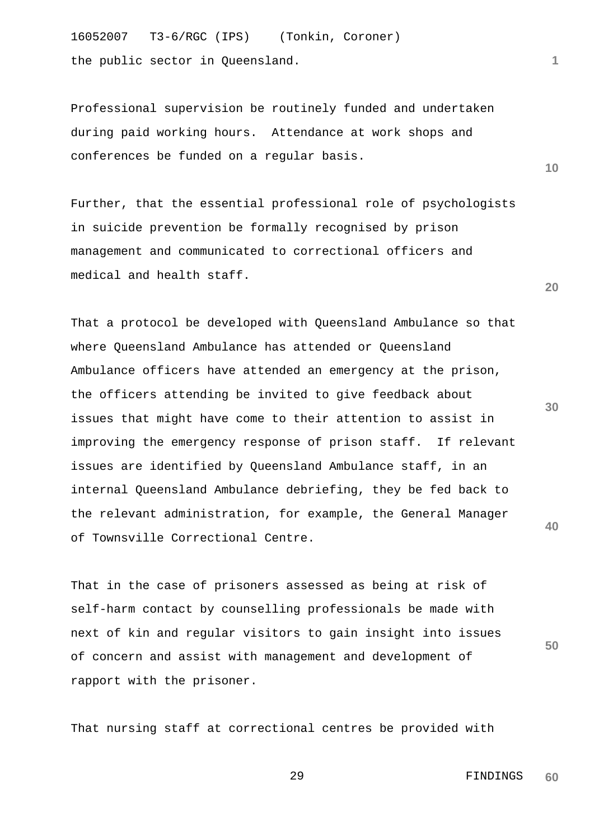16052007 T3-6/RGC (IPS) (Tonkin, Coroner) the public sector in Queensland.

Professional supervision be routinely funded and undertaken during paid working hours. Attendance at work shops and conferences be funded on a regular basis.

Further, that the essential professional role of psychologists in suicide prevention be formally recognised by prison management and communicated to correctional officers and medical and health staff.

That a protocol be developed with Queensland Ambulance so that where Queensland Ambulance has attended or Queensland Ambulance officers have attended an emergency at the prison, the officers attending be invited to give feedback about issues that might have come to their attention to assist in improving the emergency response of prison staff. If relevant issues are identified by Queensland Ambulance staff, in an internal Queensland Ambulance debriefing, they be fed back to the relevant administration, for example, the General Manager of Townsville Correctional Centre.

That in the case of prisoners assessed as being at risk of self-harm contact by counselling professionals be made with next of kin and regular visitors to gain insight into issues of concern and assist with management and development of rapport with the prisoner.

That nursing staff at correctional centres be provided with

**20**

**10**

**30**

**40**

**50**